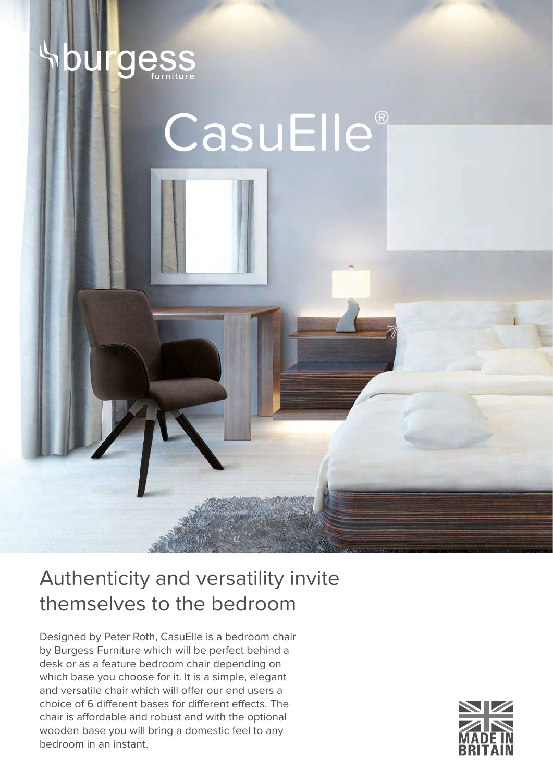

## CasuElle®

## Authenticity and versatility invite themselves to the bedroom

Designed by Peter Roth, CasuElle is a bedroom chair by Burgess Furniture which will be perfect behind a desk or as a feature bedroom chair depending on which base you choose for it. It is a simple, elegant and versatile chair which will offer our end users a choice of 6 different bases for different effects. The chair is affordable and robust and with the optional wooden base you will bring a domestic feel to any bedroom in an instant.